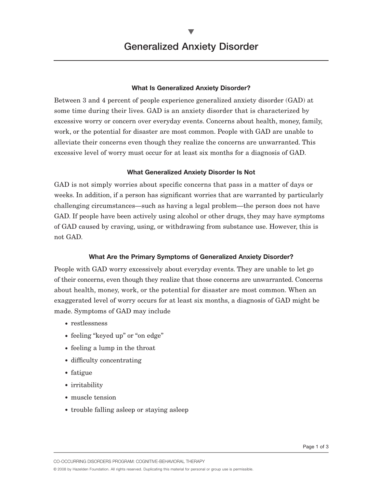## **What Is Generalized Anxiety Disorder?**

Between 3 and 4 percent of people experience generalized anxiety disorder (GAD) at some time during their lives. GAD is an anxiety disorder that is characterized by excessive worry or concern over everyday events. Concerns about health, money, family, work, or the potential for disaster are most common. People with GAD are unable to alleviate their concerns even though they realize the concerns are unwarranted. This excessive level of worry must occur for at least six months for a diagnosis of GAD.

### **What Generalized Anxiety Disorder Is Not**

GAD is not simply worries about specific concerns that pass in a matter of days or weeks. In addition, if a person has significant worries that are warranted by particularly challenging circumstances—such as having a legal problem—the person does not have GAD. If people have been actively using alcohol or other drugs, they may have symptoms of GAD caused by craving, using, or withdrawing from substance use. However, this is not GAD.

### **What Are the Primary Symptoms of Generalized Anxiety Disorder?**

People with GAD worry excessively about everyday events. They are unable to let go of their concerns, even though they realize that those concerns are unwarranted. Concerns about health, money, work, or the potential for disaster are most common. When an exaggerated level of worry occurs for at least six months, a diagnosis of GAD might be made. Symptoms of GAD may include

- restlessness
- feeling "keyed up" or "on edge"
- feeling a lump in the throat
- difficulty concentrating
- fatigue
- irritability
- muscle tension
- trouble falling asleep or staying asleep

CO-OCCURRING DISORDERS PROGRAM: COGNITIVE-BEHAVIORAL THERAPY

© 2008 by Hazelden Foundation. All rights reserved. Duplicating this material for personal or group use is permissible.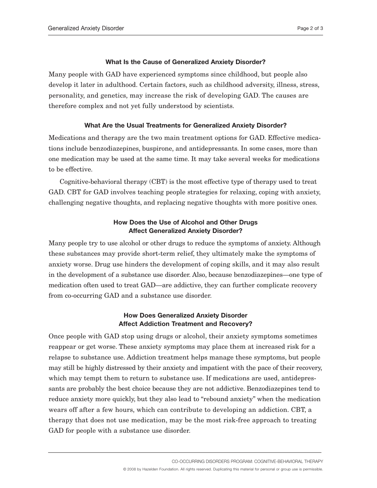#### **What Is the Cause of Generalized Anxiety Disorder?**

Many people with GAD have experienced symptoms since childhood, but people also develop it later in adulthood. Certain factors, such as childhood adversity, illness, stress, personality, and genetics, may increase the risk of developing GAD. The causes are therefore complex and not yet fully understood by scientists.

### **What Are the Usual Treatments for Generalized Anxiety Disorder?**

Medications and therapy are the two main treatment options for GAD. Effective medications include benzodiazepines, buspirone, and antidepressants. In some cases, more than one medication may be used at the same time. It may take several weeks for medications to be effective.

Cognitive-behavioral therapy (CBT) is the most effective type of therapy used to treat GAD. CBT for GAD involves teaching people strategies for relaxing, coping with anxiety, challenging negative thoughts, and replacing negative thoughts with more positive ones.

# **How Does the Use of Alcohol and Other Drugs Affect Generalized Anxiety Disorder?**

Many people try to use alcohol or other drugs to reduce the symptoms of anxiety. Although these substances may provide short-term relief, they ultimately make the symptoms of anxiety worse. Drug use hinders the development of coping skills, and it may also result in the development of a substance use disorder. Also, because benzodiazepines—one type of medication often used to treat GAD—are addictive, they can further complicate recovery from co-occurring GAD and a substance use disorder.

# **How Does Generalized Anxiety Disorder Affect Addiction Treatment and Recovery?**

Once people with GAD stop using drugs or alcohol, their anxiety symptoms sometimes reappear or get worse. These anxiety symptoms may place them at increased risk for a relapse to substance use. Addiction treatment helps manage these symptoms, but people may still be highly distressed by their anxiety and impatient with the pace of their recovery, which may tempt them to return to substance use. If medications are used, antidepressants are probably the best choice because they are not addictive. Benzodiazepines tend to reduce anxiety more quickly, but they also lead to "rebound anxiety" when the medication wears off after a few hours, which can contribute to developing an addiction. CBT, a therapy that does not use medication, may be the most risk-free approach to treating GAD for people with a substance use disorder.

CO-OCCURRING DISORDERS PROGRAM: COGNITIVE-BEHAVIORAL THERAPY

© 2008 by Hazelden Foundation. All rights reserved. Duplicating this material for personal or group use is permissible.